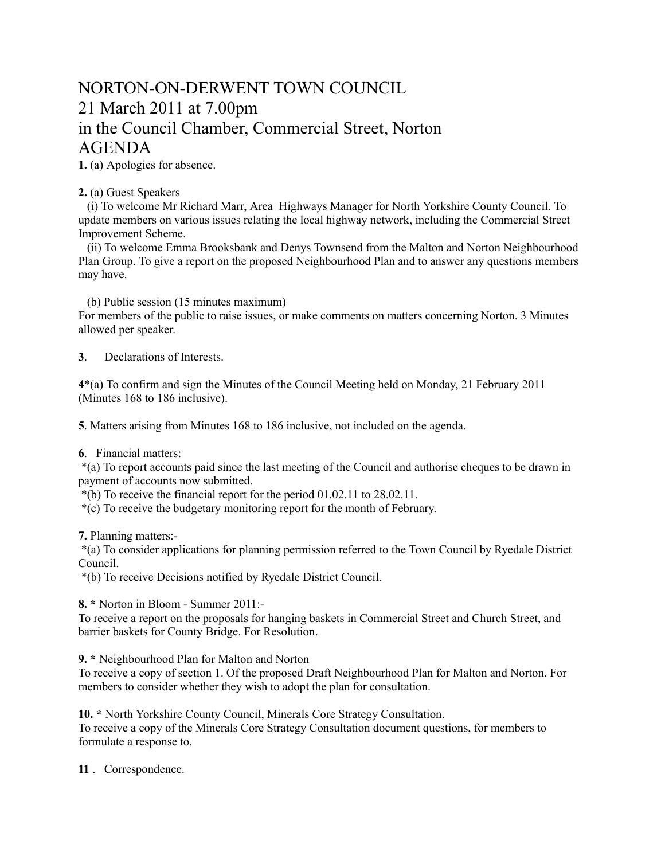## NORTON-ON-DERWENT TOWN COUNCIL 21 March 2011 at 7.00pm in the Council Chamber, Commercial Street, Norton AGENDA

**1.** (a) Apologies for absence.

**2.** (a) Guest Speakers

 (i) To welcome Mr Richard Marr, Area Highways Manager for North Yorkshire County Council. To update members on various issues relating the local highway network, including the Commercial Street Improvement Scheme.

 (ii) To welcome Emma Brooksbank and Denys Townsend from the Malton and Norton Neighbourhood Plan Group. To give a report on the proposed Neighbourhood Plan and to answer any questions members may have.

(b) Public session (15 minutes maximum)

For members of the public to raise issues, or make comments on matters concerning Norton. 3 Minutes allowed per speaker.

**3**. Declarations of Interests.

**4**\*(a) To confirm and sign the Minutes of the Council Meeting held on Monday, 21 February 2011 (Minutes 168 to 186 inclusive).

**5**. Matters arising from Minutes 168 to 186 inclusive, not included on the agenda.

**6**. Financial matters:

 \*(a) To report accounts paid since the last meeting of the Council and authorise cheques to be drawn in payment of accounts now submitted.

\*(b) To receive the financial report for the period 01.02.11 to 28.02.11.

\*(c) To receive the budgetary monitoring report for the month of February.

**7.** Planning matters:-

 \*(a) To consider applications for planning permission referred to the Town Council by Ryedale District Council.

\*(b) To receive Decisions notified by Ryedale District Council.

**8. \*** Norton in Bloom - Summer 2011:-

To receive a report on the proposals for hanging baskets in Commercial Street and Church Street, and barrier baskets for County Bridge. For Resolution.

**9. \*** Neighbourhood Plan for Malton and Norton

To receive a copy of section 1. Of the proposed Draft Neighbourhood Plan for Malton and Norton. For members to consider whether they wish to adopt the plan for consultation.

**10. \*** North Yorkshire County Council, Minerals Core Strategy Consultation. To receive a copy of the Minerals Core Strategy Consultation document questions, for members to formulate a response to.

**11** . Correspondence.